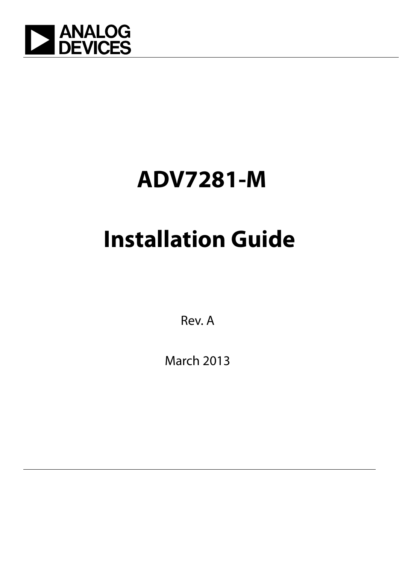

## **ADV7281-M**

# **Installation Guide**

Rev. A

March 2013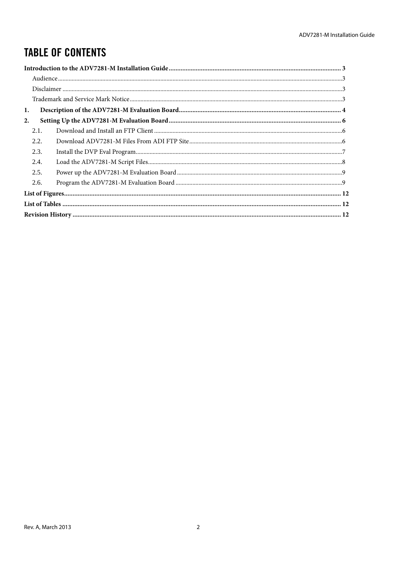## **TABLE OF CONTENTS**

| 1. |      |  |
|----|------|--|
| 2. |      |  |
|    | 2.1. |  |
|    | 2.2. |  |
|    | 2.3. |  |
|    | 2.4. |  |
|    | 2.5. |  |
|    | 2.6. |  |
|    |      |  |
|    |      |  |
|    |      |  |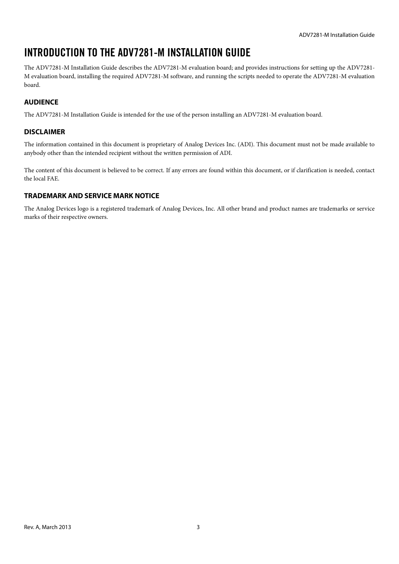## <span id="page-2-0"></span>INTRODUCTION TO THE ADV7281-M INSTALLATION GUIDE

The ADV7281-M Installation Guide describes the ADV7281-M evaluation board; and provides instructions for setting up the ADV7281- M evaluation board, installing the required ADV7281-M software, and running the scripts needed to operate the ADV7281-M evaluation board.

#### <span id="page-2-1"></span>**AUDIENCE**

The ADV7281-M Installation Guide is intended for the use of the person installing an ADV7281-M evaluation board.

#### <span id="page-2-2"></span>**DISCLAIMER**

The information contained in this document is proprietary of Analog Devices Inc. (ADI). This document must not be made available to anybody other than the intended recipient without the written permission of ADI.

The content of this document is believed to be correct. If any errors are found within this document, or if clarification is needed, contact the local FAE.

#### <span id="page-2-3"></span>**TRADEMARK AND SERVICE MARK NOTICE**

The Analog Devices logo is a registered trademark of Analog Devices, Inc. All other brand and product names are trademarks or service marks of their respective owners.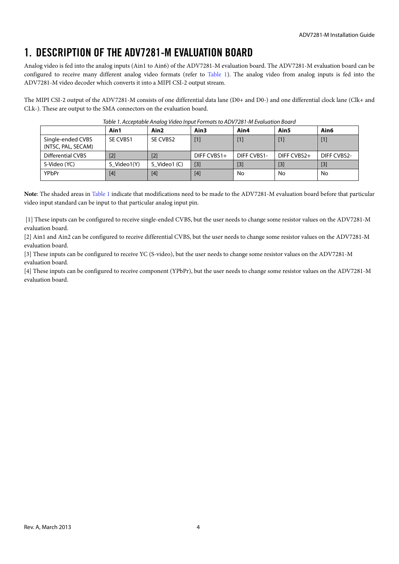## <span id="page-3-0"></span>1. DESCRIPTION OF THE ADV7281-M EVALUATION BOARD

Analog video is fed into the analog inputs (Ain1 to Ain6) of the ADV7281-M evaluation board. The ADV7281-M evaluation board can be configured to receive many different analog video formats (refer to [Table 1\)](#page-3-1). The analog video from analog inputs is fed into the ADV7281-M video decoder which converts it into a MIPI CSI-2 output stream.

<span id="page-3-1"></span>The MIPI CSI-2 output of the ADV7281-M consists of one differential data lane (D0+ and D0-) and one differential clock lane (Clk+ and CLk-). These are output to the SMA connectors on the evaluation board.

|                                         | Ain1        | Ain <sub>2</sub> | Ain3        | Ain4               | Ain5        | Ain6              |
|-----------------------------------------|-------------|------------------|-------------|--------------------|-------------|-------------------|
| Single-ended CVBS<br>(NTSC, PAL, SECAM) | SE CVBS1    | SE CVBS2         | $[1]$       | $[1]$              |             | $\lceil 1 \rceil$ |
| Differential CVBS                       | $[2]$       | $[2]$            | DIFF CVBS1+ | <b>DIFF CVBS1-</b> | DIFF CVBS2+ | DIFF CVBS2-       |
| S-Video (YC)                            | S Video1(Y) | S Video1 (C)     | $[3]$       | [3]                | [3]         | $[3]$             |
| YPbPr                                   | $[4]$       | [4]              | [4]         | No                 | No          | No                |

|  | Table 1. Acceptable Analog Video Input Formats to ADV7281-M Evaluation Board |
|--|------------------------------------------------------------------------------|
|  |                                                                              |

**Note**: The shaded areas in [Table 1](#page-3-1) indicate that modifications need to be made to the ADV7281-M evaluation board before that particular video input standard can be input to that particular analog input pin.

[1] These inputs can be configured to receive single-ended CVBS, but the user needs to change some resistor values on the ADV7281-M evaluation board.

[2] Ain1 and Ain2 can be configured to receive differential CVBS, but the user needs to change some resistor values on the ADV7281-M evaluation board.

[3] These inputs can be configured to receive YC (S-video), but the user needs to change some resistor values on the ADV7281-M evaluation board.

[4] These inputs can be configured to receive component (YPbPr), but the user needs to change some resistor values on the ADV7281-M evaluation board.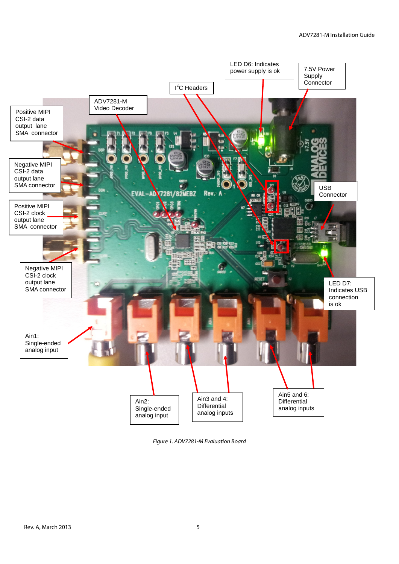

<span id="page-4-0"></span>*Figure 1. ADV7281-M Evaluation Board*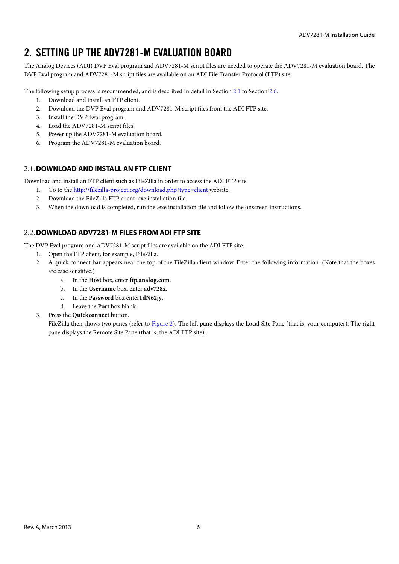## <span id="page-5-0"></span>2. SETTING UP THE ADV7281-M EVALUATION BOARD

The Analog Devices (ADI) DVP Eval program and ADV7281-M script files are needed to operate the ADV7281-M evaluation board. The DVP Eval program and ADV7281-M script files are available on an ADI File Transfer Protocol (FTP) site.

The following setup process is recommended, and is described in detail in Section [2.1](#page-5-1) to Section [2.6.](#page-8-1)

- 1. Download and install an FTP client.
- 2. Download the DVP Eval program and ADV7281-M script files from the ADI FTP site.
- 3. Install the DVP Eval program.
- 4. Load the ADV7281-M script files.
- 5. Power up the ADV7281-M evaluation board.
- 6. Program the ADV7281-M evaluation board.

#### <span id="page-5-1"></span>2.1.**DOWNLOAD AND INSTALL AN FTP CLIENT**

Download and install an FTP client such as FileZilla in order to access the ADI FTP site.

- 1. Go to the<http://filezilla-project.org/download.php?type=client> website.
- 2. Download the FileZilla FTP client .exe installation file.
- 3. When the download is completed, run the .exe installation file and follow the onscreen instructions.

#### <span id="page-5-2"></span>2.2.**DOWNLOAD ADV7281-M FILES FROM ADI FTP SITE**

The DVP Eval program and ADV7281-M script files are available on the ADI FTP site.

- 1. Open the FTP client, for example, FileZilla.
- 2. A quick connect bar appears near the top of the FileZilla client window. Enter the following information. (Note that the boxes are case sensitive.)
	- a. In the **Host** box, enter **[ftp.analog.com](ftp://ftp.analog.com/)**.
	- b. In the **Username** box, enter **adv728x**.
	- c. In the **Password** box enter**1dN62jy**.
	- d. Leave the **Port** box blank.

#### 3. Press the **Quickconnect** button.

FileZilla then shows two panes (refer to [Figure 2\)](#page-6-1). The left pane displays the Local Site Pane (that is, your computer). The right pane displays the Remote Site Pane (that is, the ADI FTP site).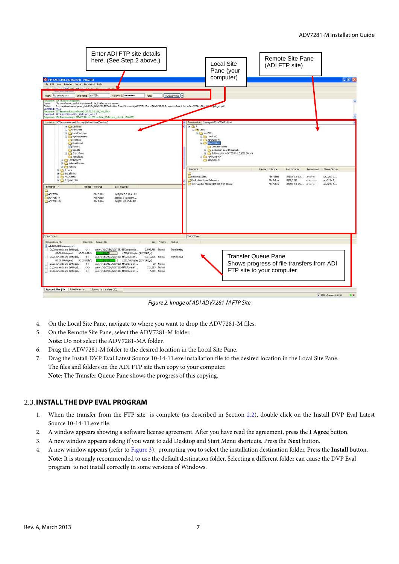

*Figure 2. Image of ADI ADV7281-M FTP Site*

- <span id="page-6-1"></span>4. On the Local Site Pane, navigate to where you want to drop the ADV7281-M files.
- 5. On the Remote Site Pane, select the ADV7281-M folder. **Note**: Do not select the ADV7281-MA folder.
- 6. Drag the ADV7281-M folder to the desired location in the Local Site Pane.
- 7. Drag the Install DVP Eval Latest Source 10-14-11.exe installation file to the desired location in the Local Site Pane. The files and folders on the ADI FTP site then copy to your computer. **Note**: The Transfer Queue Pane shows the progress of this copying.

#### <span id="page-6-0"></span>2.3.**INSTALL THE DVP EVAL PROGRAM**

- 1. When the transfer from the FTP site is complete (as described in Section [2.2\)](#page-5-2), double click on the Install DVP Eval Latest Source 10-14-11.exe file.
- 2. A window appears showing a software license agreement. After you have read the agreement, press the **I Agree** button.
- 3. A new window appears asking if you want to add Desktop and Start Menu shortcuts. Press the **Next** button.
- 4. A new window appears (refer t[o Figure 3\)](#page-7-1), prompting you to select the installation destination folder. Press the **Install** button. **Note**: It is strongly recommended to use the default destination folder. Selecting a different folder can cause the DVP Eval program to not install correctly in some versions of Windows.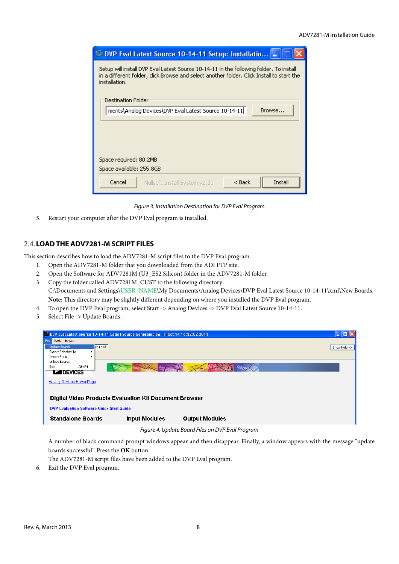| DVP Eval Latest Source 10-14-11 Setup: Installatio  <br>94                                                                                                                                          |  |  |  |  |  |  |  |
|-----------------------------------------------------------------------------------------------------------------------------------------------------------------------------------------------------|--|--|--|--|--|--|--|
| Setup will install DVP Eval Latest Source 10-14-11 in the following folder,To install<br>in a different folder, click Browse and select another folder. Click Install to start the<br>installation. |  |  |  |  |  |  |  |
| Destination Folder                                                                                                                                                                                  |  |  |  |  |  |  |  |
| ments\Analog Devices\DVP Eval Latest Source 10-14-11<br>Browse                                                                                                                                      |  |  |  |  |  |  |  |
| Space required: 80.2MB<br>Space available: 255.8GB                                                                                                                                                  |  |  |  |  |  |  |  |
| Cancel<br>< Back<br>Install<br>Nullsoft Install System v2.30                                                                                                                                        |  |  |  |  |  |  |  |

*Figure 3. Installation Destination for DVP Eval Program*

<span id="page-7-1"></span>5. Restart your computer after the DVP Eval program is installed.

#### <span id="page-7-0"></span>2.4.**LOADTHE ADV7281-M SCRIPT FILES**

This section describes how to load the ADV7281-M script files to the DVP Eval program.

- 1. Open the ADV7281-M folder that you downloaded from the ADI FTP site.
- 2. Open the Software for ADV7281M (U3\_ES2 Silicon) folder in the ADV7281-M folder.
- 3. Copy the folder called ADV7281M\_CUST to the following directory: C:\Documents and Settings\USER\_NAME\My Documents\Analog Devices\DVP Eval Latest Source 10-14-11\xml\New Boards. **Note**: This directory may be slightly different depending on where you installed the DVP Eval program.
- 4. To open the DVP Eval program, select Start -> Analog Devices -> DVP Eval Latest Source 10-14-11.
- 5. Select File -> Update Boards.

|                                 | DVP Eval Latest Source 10-14-11 Latest Source Generated on Fri Oct 14 16:52:02 2011                                                                                                                                                                                                                                                                                                                                                                                                              |             |  |  |  |  |  |  |  |
|---------------------------------|--------------------------------------------------------------------------------------------------------------------------------------------------------------------------------------------------------------------------------------------------------------------------------------------------------------------------------------------------------------------------------------------------------------------------------------------------------------------------------------------------|-------------|--|--|--|--|--|--|--|
| Tools Scripts<br>File           |                                                                                                                                                                                                                                                                                                                                                                                                                                                                                                  |             |  |  |  |  |  |  |  |
| Update Boards                   | ird Load                                                                                                                                                                                                                                                                                                                                                                                                                                                                                         | Show Help>> |  |  |  |  |  |  |  |
| Export Selected To              |                                                                                                                                                                                                                                                                                                                                                                                                                                                                                                  |             |  |  |  |  |  |  |  |
| Import From<br>Unload Boards    |                                                                                                                                                                                                                                                                                                                                                                                                                                                                                                  |             |  |  |  |  |  |  |  |
| $Alt + F4$<br>Exit              | $\leftarrow$ $\leftarrow$ $\leftarrow$ $\leftarrow$ $\leftarrow$ $\leftarrow$ $\leftarrow$ $\leftarrow$ $\leftarrow$ $\leftarrow$ $\leftarrow$ $\leftarrow$ $\leftarrow$ $\leftarrow$ $\leftarrow$ $\leftarrow$ $\leftarrow$ $\leftarrow$ $\leftarrow$ $\leftarrow$ $\leftarrow$ $\leftarrow$ $\leftarrow$ $\leftarrow$ $\leftarrow$ $\leftarrow$ $\leftarrow$ $\leftarrow$ $\leftarrow$ $\leftarrow$ $\leftarrow$ $\leftarrow$ $\leftarrow$ $\leftarrow$ $\leftarrow$ $\leftarrow$ $\leftarrow$ |             |  |  |  |  |  |  |  |
| <b>LA DEVICES</b>               |                                                                                                                                                                                                                                                                                                                                                                                                                                                                                                  |             |  |  |  |  |  |  |  |
|                                 |                                                                                                                                                                                                                                                                                                                                                                                                                                                                                                  |             |  |  |  |  |  |  |  |
| <b>Analog Devices Home Page</b> |                                                                                                                                                                                                                                                                                                                                                                                                                                                                                                  |             |  |  |  |  |  |  |  |
|                                 |                                                                                                                                                                                                                                                                                                                                                                                                                                                                                                  |             |  |  |  |  |  |  |  |
|                                 |                                                                                                                                                                                                                                                                                                                                                                                                                                                                                                  |             |  |  |  |  |  |  |  |
|                                 | <b>Digital Video Products Evaluation Kit Document Browser</b>                                                                                                                                                                                                                                                                                                                                                                                                                                    |             |  |  |  |  |  |  |  |
|                                 | <b>DVP Evaluation Software Quick Start Guide</b>                                                                                                                                                                                                                                                                                                                                                                                                                                                 |             |  |  |  |  |  |  |  |
| <b>Standalone Boards</b>        | <b>Input Modules</b><br><b>Output Modules</b>                                                                                                                                                                                                                                                                                                                                                                                                                                                    |             |  |  |  |  |  |  |  |
|                                 |                                                                                                                                                                                                                                                                                                                                                                                                                                                                                                  |             |  |  |  |  |  |  |  |
|                                 | $F'$ $\left\{ \begin{array}{ccc} 1 & 1 & 1 & 0 \\ 0 & 0 & 0 & 0 \end{array} \right\}$ $F'$ $\left\{ \begin{array}{ccc} 0 & 0 & 0 \\ 0 & 0 & 0 \end{array} \right\}$                                                                                                                                                                                                                                                                                                                              |             |  |  |  |  |  |  |  |

*Figure 4. Update Board Files on DVP Eval Program*

<span id="page-7-2"></span>A number of black command prompt windows appear and then disappear. Finally, a window appears with the message "update boards successful". Press the **OK** button.

The ADV7281-M script files have been added to the DVP Eval program.

6. Exit the DVP Eval program.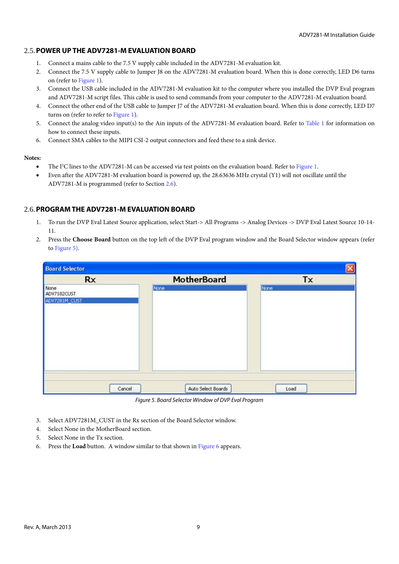#### <span id="page-8-0"></span>2.5.**POWER UP THE ADV7281-M EVALUATION BOARD**

- 1. Connect a mains cable to the 7.5 V supply cable included in the ADV7281-M evaluation kit.
- 2. Connect the 7.5 V supply cable to Jumper J8 on the ADV7281-M evaluation board. When this is done correctly, LED D6 turns on (refer to [Figure 1\)](#page-4-0).
- 3. Connect the USB cable included in the ADV7281-M evaluation kit to the computer where you installed the DVP Eval program and ADV7281-M script files. This cable is used to send commands from your computer to the ADV7281-M evaluation board.
- 4. Connect the other end of the USB cable to Jumper J7 of the ADV7281-M evaluation board. When this is done correctly, LED D7 turns on (refer to refer to [Figure 1\)](#page-4-0).
- 5. Connect the analog video input(s) to the Ain inputs of the ADV7281-M evaluation board. Refer to [Table 1](#page-3-1) for information on how to connect these inputs.
- 6. Connect SMA cables to the MIPI CSI-2 output connectors and feed these to a sink device.

#### **Notes:**

- The I<sup>2</sup>C lines to the ADV7281-M can be accessed via test points on the evaluation board. Refer to [Figure 1.](#page-4-0)
- Even after the ADV7281-M evaluation board is powered up, the 28.63636 MHz crystal (Y1) will not oscillate until the ADV7281-M is programmed (refer to Section [2.6\)](#page-8-1).

#### <span id="page-8-1"></span>2.6.**PROGRAM THE ADV7281-M EVALUATION BOARD**

- 1. To run the DVP Eval Latest Source application, select Start-> All Programs -> Analog Devices -> DVP Eval Latest Source 10-14- 11.
- 2. Press the **Choose Board** button on the top left of the DVP Eval program window and the Board Selector window appears (refer to [Figure 5\)](#page-8-2).

| <b>Board Selector</b> |                    |      |
|-----------------------|--------------------|------|
| Rx                    | <b>MotherBoard</b> | Tx   |
| None<br>ADV7182CUST   | None               | None |
| ADV7281M_CUST         |                    |      |
|                       |                    |      |
|                       |                    |      |
| Cancel                | Auto Select Boards | Load |

*Figure 5. Board Selector Window of DVP Eval Program*

- <span id="page-8-2"></span>3. Select ADV7281M\_CUST in the Rx section of the Board Selector window.
- 4. Select None in the MotherBoard section.
- 5. Select None in the Tx section.
- 6. Press the **Load** button. A window similar to that shown in [Figure 6](#page-9-0) appears.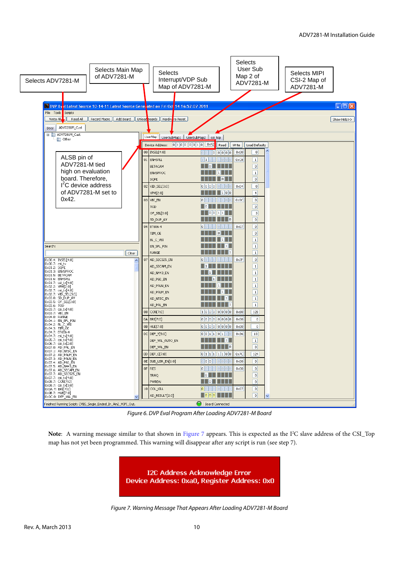| Selects Main Map<br>of ADV7281-M<br>Selects ADV7281-M                                                                                      | <b>Selects</b><br>Interrupt/VDP Sub<br>Map of ADV7281-M | <b>Selects</b><br>User Sub<br>Map 2 of<br>ADV7281-M        | Selects MIPI<br>CSI-2 Map of<br>ADV7281-M |
|--------------------------------------------------------------------------------------------------------------------------------------------|---------------------------------------------------------|------------------------------------------------------------|-------------------------------------------|
|                                                                                                                                            |                                                         |                                                            |                                           |
| DVP Ev <mark>al Latest Source 10-14-11 Latest Source Gener</mark> ated on Fri Oct <mark>.</mark> 14 16:52:02 2011<br>File Tools<br>Scripts |                                                         |                                                            | $\Box$ $\Box$ $\Box$                      |
| Write All<br>Read All<br>Record Macro                                                                                                      | Add Board   Unload Boards   Hardwire Reset              |                                                            | Show Help>>                               |
| ADV7281M_Cust                                                                                                                              |                                                         |                                                            |                                           |
| Docs<br>ADV7281M_Cust                                                                                                                      |                                                         |                                                            |                                           |
| other                                                                                                                                      | UserMap   UserSubMap1   UserSubMap2   csi top           |                                                            |                                           |
|                                                                                                                                            | $01000010$ $0 \times 42$<br>Device Address:             | Read<br>Write<br>Load Defaults                             |                                           |
|                                                                                                                                            | 00   INSEL[4:0]                                         | $\overline{0}$<br>$0 \times 00$<br> 0 0 0 0 0 0 0 0        |                                           |
| ALSB pin of                                                                                                                                | 01 ENHSPLL                                              | $\overline{1}$<br>0xC8<br>110010100                        |                                           |
| ADV7281-M tied                                                                                                                             | <b>BETACAM</b>                                          | $\overline{0}$                                             |                                           |
| high on evaluation                                                                                                                         | <b>ENVSPROC</b>                                         | $\mathbf{1}$                                               |                                           |
| board. Therefore,                                                                                                                          | SQPE                                                    | $\overline{0}$                                             |                                           |
| $I2C$ device address                                                                                                                       | 02 VID_SEL[3:0]                                         | $\vert 0 \vert$<br> 0 0 0 0 <br>$0\times04$                |                                           |
| of ADV7281-M set to                                                                                                                        | YPM[2:0]                                                | 100<br>$\left  \right $                                    |                                           |
| 0x42.                                                                                                                                      | 03 VBI_EN<br>010                                        | $\overline{0}$<br>11100<br>0x0C                            |                                           |
|                                                                                                                                            | TOD                                                     | $\overline{0}$                                             |                                           |
|                                                                                                                                            | OF_SEL[3:0]                                             | $\vert$ <sub>3</sub><br>00                                 |                                           |
|                                                                                                                                            | SD_DUP_AV                                               | $\overline{0}$                                             |                                           |
|                                                                                                                                            | BT656-4<br>04<br> 0 0                                   | $0\times07$<br>$\overline{0}$                              |                                           |
|                                                                                                                                            | TIM_OE                                                  | $\vert 0 \vert$                                            |                                           |
|                                                                                                                                            | BL_C_VBI                                                | $\vert$ 1                                                  |                                           |
| Search:                                                                                                                                    | EN_SFL_PIN<br>RANGE                                     | $\overline{1}$<br>$\boxed{1}$                              |                                           |
| Clear                                                                                                                                      |                                                         | $0\times 7F$                                               |                                           |
| 0x00.4: INSEL[4:0]<br>0x00.7: csi_tx                                                                                                       | AD_SEC525_EN<br>07<br>$\ 0\ _1$<br>AD_SECAM_EN          | $\vert 0 \vert$<br>$\boxed{1}$                             |                                           |
| 0x01.2: SQPE<br>0x01.3: ENVSPROC                                                                                                           | AD_N443_EN                                              | $\vert$ 1                                                  |                                           |
| 0x01.5: BETACAM<br>$0\times01.6$ : ENHSPLL                                                                                                 | AD_P60_EN                                               | $\vert 1 \vert$                                            |                                           |
| 0x01.7: csi_tx[4:0]<br>0x02.2: YPM[2:0]                                                                                                    | AD_PALN_EN                                              | $\overline{1}$                                             |                                           |
| 0x02.7; csi_tx[4:0]<br>0x02.7; VID_SEL[3:0]                                                                                                | AD_PALM_EN                                              | $\boxed{1}$                                                |                                           |
| 0x03.0: SD_DUP_AV                                                                                                                          | AD_NTSC_EN                                              | $\overline{1}$                                             |                                           |
| 0x03.5: OF_SEL[3:0]<br>0x03.6: TOD                                                                                                         | AD_PAL_EN                                               | $\mathbf 1$                                                |                                           |
| 0x03.7: csi_tx[4:0]<br>0x03.7: VBI_EN                                                                                                      | 08 CON[7:0]                                             | 100000000<br>128<br>$0\times80$                            |                                           |
| 0x04.0: RANGE<br>0x04.1: EN_SFL_PIN                                                                                                        | 0A BRI[7:0]                                             | 0000000000<br>$0 \times 00$<br>$\vert 0 \vert$             |                                           |
| 0x04.2: BL_C_VBI                                                                                                                           | 0B HUE[7:0]                                             | 000000000<br>$\overline{0}$<br>$0 \times 00$               |                                           |
| 0x04.3: TIM_OE<br>0x04.7: BT656-4                                                                                                          | OC DEF_Y[5:0]                                           | 0011011<br>13<br>0x36                                      |                                           |
| 0x04.7: csi_tx[4:0]<br>0x05.7: csi_tx[4:0]                                                                                                 | DEF_VAL_AUTO_EN                                         | $\vert$ 1<br>11 I                                          |                                           |
| 0x06.7: csi_tx[2:0]<br>0x07.0: AD_PAL_EN                                                                                                   | DEF_VAL_EN                                              | $\overline{0}$                                             |                                           |
| 0x07.1: AD_NTSC_EN<br>0x07.2: AD_PALM_EN                                                                                                   | 0D DEF_C[7:0]                                           | 011111100<br>124<br>0x7C                                   |                                           |
| 0x07.3: AD_PALN_EN<br>0x07.4: AD_P60_EN                                                                                                    | OE SUB_USR_EN[1:0]                                      | 0000<br>$0 \times 00$<br>$\overline{0}$<br> 0 0 0          |                                           |
| 0x07.5: AD_N443_EN                                                                                                                         | 0F<br><b>RES</b>                                        | 0 0 0 0 <br>$0 \times 00$<br>$\vert 0 \vert$<br>lollolloll |                                           |
| 0x07.6: AD_SECAM_EN<br>0x07.7: AD_SEC525_EN                                                                                                | TRAQ                                                    | $\overline{0}$                                             |                                           |
| 0x07.7: csi_tx[4:0]<br>0x08.7: CON[7:0]                                                                                                    | PWRDN                                                   | $\overline{0}$                                             |                                           |
| 0x08.7: csi_tx[3:0]<br>0x0A.7: BRI[7:0]                                                                                                    | 10 COLKILL                                              | 0 0 0 0 <br>$\vert 0 \vert$<br>$0\times07$                 |                                           |
| 0x0B.7: HUE[7:0]<br>0x0C.0: DEF_VAL_EN                                                                                                     | AD_RESULT[2:0]                                          | $\blacksquare$ oloo $\blacksquare$<br>$\overline{0}$<br>U  |                                           |
| Finished Running Script: CVBS_Single_Ended_In_Ain2_MIPI_Out.                                                                               |                                                         | <b>Board Connected</b>                                     |                                           |

*Figure 6. DVP Eval Program After Loading ADV7281-M Board*

<span id="page-9-1"></span><span id="page-9-0"></span>Note: A warning message similar to that shown in [Figure 7](#page-9-1) appears. This is expected as the I<sup>2</sup>C slave address of the CSI\_Top map has not yet been programmed. This warning will disappear after any script is run (see step 7).

> **I2C Address Acknowledge Error** Device Address: 0xa0, Register Address: 0x0

*Figure 7. Warning Message That Appears After Loading ADV7281-M Board*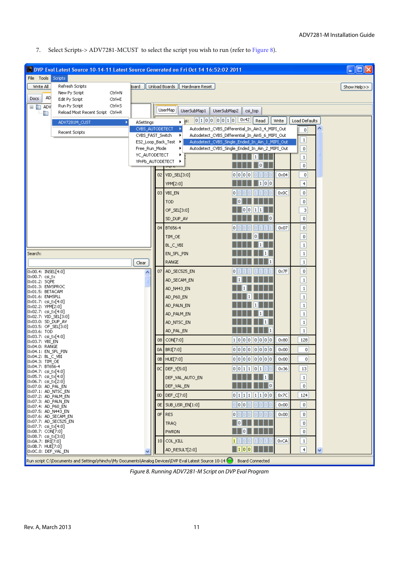7. Select Scripts-> ADV7281-MCUST to select the script you wish to run (refer to [Figure 8\)](#page-10-0).

| DVP Eval Latest Source 10-14-11 Latest Source Generated on Fri Oct 14 16:52:02 2011                                   |                  |                                         |                                                                                                  |                |                             | $\blacksquare$ $\blacksquare$ |
|-----------------------------------------------------------------------------------------------------------------------|------------------|-----------------------------------------|--------------------------------------------------------------------------------------------------|----------------|-----------------------------|-------------------------------|
| File Tools Scripts                                                                                                    |                  |                                         |                                                                                                  |                |                             |                               |
| Refresh Scripts<br>Write All<br>loard                                                                                 | Unload Boards    | Hardware Reset                          |                                                                                                  |                |                             | Show Help>>                   |
| New Py Script<br>Ctrl+N<br>AD                                                                                         |                  |                                         |                                                                                                  |                |                             |                               |
| Docs<br>Edit Py Script<br>Ctrl+E<br>Ctrl+S<br>Run Py Script                                                           |                  |                                         |                                                                                                  |                |                             |                               |
| $\Box$ $\Box$ ADV<br>Reload Most Recent Script Ctrl+R<br>Ò                                                            |                  | UserMap i<br>UserSubMap1<br>UserSubMap2 | csi_top                                                                                          |                |                             |                               |
| ADV7281M_CUST<br>ASettings                                                                                            |                  | 01000010<br>$\blacktriangleright$ [SI]  | 0x42<br>Read                                                                                     | Write          | Load Defaults               |                               |
|                                                                                                                       | CVBS_AUTODETECT  |                                         | Autodetect_CVBS_Differential_In_Ain3_4_MIPI_Out                                                  |                | 0                           |                               |
| Recent Scripts                                                                                                        | CVBS_FAST_Switch | ٠                                       | Autodetect_CVBS_Differential_In_Ain5_6_MIPI_Out                                                  |                | $\mathbf{1}$                |                               |
|                                                                                                                       | Free_Run_Mode    | ES2_Loop_Back_Test ▶                    | Autodetect_CVBS_Single_Ended_In_Ain_1_MIPI_Out<br>Autodetect_CVBS_Single_Ended_In_Ain_2_MIPI_Out |                | $\mathbf 0$                 |                               |
|                                                                                                                       | YC_AUTODETECT    |                                         |                                                                                                  |                |                             |                               |
|                                                                                                                       |                  | YPrPb_AUTODETECT                        |                                                                                                  |                | $\mathbf{1}$<br>$\mathbf 0$ |                               |
|                                                                                                                       |                  |                                         |                                                                                                  |                |                             |                               |
|                                                                                                                       |                  | 02   VID_SEL[3:0]                       | 0000                                                                                             | $0\times04$    | $\,0\,$                     |                               |
|                                                                                                                       |                  | YPM[2:0]                                | 1  0  0                                                                                          |                | $\overline{4}$              |                               |
|                                                                                                                       |                  | 03 VBI_EN                               | l٥l                                                                                              | $0 \times 0 C$ | $\,0\,$                     |                               |
|                                                                                                                       |                  | <b>TOD</b>                              |                                                                                                  |                | 0                           |                               |
|                                                                                                                       |                  | OF_SEL[3:0]                             |                                                                                                  |                | 3                           |                               |
|                                                                                                                       |                  | SD_DUP_AV                               | 10                                                                                               |                | $\mathbf 0$                 |                               |
|                                                                                                                       |                  | 04 BT656-4                              | 0                                                                                                | $0\times07$    | $\mathbf 0$                 |                               |
|                                                                                                                       |                  | TIM_OE                                  |                                                                                                  |                | 0                           |                               |
|                                                                                                                       |                  | BL_C_VBI                                |                                                                                                  |                | $\mathbf{1}$                |                               |
| Search:                                                                                                               |                  | EN_SFL_PIN                              |                                                                                                  |                | $1\,$                       |                               |
| Clear                                                                                                                 |                  | RANGE                                   |                                                                                                  |                | $\mathbf{1}$                |                               |
| 0x00.4: INSEL[4:0]                                                                                                    |                  | 07   AD_SEC525_EN                       |                                                                                                  | $0\times 7F$   | $\,0\,$                     |                               |
| 0x00.7: csi_tx                                                                                                        |                  | AD_SECAM_EN                             |                                                                                                  |                | $\,1\,$                     |                               |
| 0x01.2: SQPE<br>0x01.3: ENVSPROC                                                                                      |                  |                                         |                                                                                                  |                |                             |                               |
| Ox01.5: BETACAM<br>Ox01.6: ENHSPLL                                                                                    |                  | AD_N443_EN                              |                                                                                                  |                | $\mathbf{1}$                |                               |
| 0x01.7: csi_tx[4:0]                                                                                                   |                  | AD_P60_EN                               |                                                                                                  |                | $\mathbf{1}$                |                               |
| [0x02.2: YPM[2:0]<br>0x02.7: csi_tx[4:0]                                                                              |                  | AD_PALN_EN                              |                                                                                                  |                | $\,1\,$                     |                               |
| 0x02.7: VID_SEL[3:0]                                                                                                  |                  | AD_PALM_EN                              |                                                                                                  |                | $\,1\,$                     |                               |
| 0x03.0: SD_DUP_AV<br>[0x03.5: OF_SEL[3:0]                                                                             |                  | AD_NTSC_EN                              |                                                                                                  |                | $\,1\,$                     |                               |
| 0x03.6: TOD<br> 0x03.7: csi_tx[4:0]                                                                                   |                  | AD_PAL_EN                               |                                                                                                  |                | $\mathbf 1$                 |                               |
| Ox03.7: VBI EN<br>0x04.0: RANGE                                                                                       |                  | 08 CON[7:0]                             | 100000000                                                                                        | $0\times80$    | 128                         |                               |
| 0x04.1: EN_SFL_PIN                                                                                                    |                  | 0A   BRI[7:0]                           | 000000000                                                                                        | $0 \times 00$  | 0                           |                               |
| 0x04.2: BL_C_VBI<br>0x04.3: TIM_OE                                                                                    |                  | 0B HUE[7:0]                             | o  o  o  o  o  o  o     0x00                                                                     |                | $\overline{0}$              |                               |
| 0x04.7: BT656-4<br> 0x04.7: csi_tx[4:0]                                                                               |                  | OC DEF_Y[5:0]                           | 0 0 1 1 0 1 1 0                                                                                  | 0x36           | 13                          |                               |
| 0x05.7: csi_tx[4:0]                                                                                                   |                  | DEF_VAL_AUTO_EN                         | 1                                                                                                |                | $\vert$ 1                   |                               |
| 0x06.7; csi_tx[2:0]<br>0x07.0: AD_PAL_EN                                                                              |                  | DEF_VAL_EN                              | 10                                                                                               |                | $\mathbf 0$                 |                               |
| $[0 \times 07.1:$ AD_NTSC_EN<br> 0x07.2: AD_PALM_EN                                                                   |                  | 0D   DEF_C[7:0]                         | $0$ 1 1 1 1 1 0 0                                                                                | $0\times 7C$   | 124                         |                               |
| 0x07.3: AD_PALN_EN                                                                                                    |                  | OE SUB_USR_EN[1:0]                      | 0 0 0 0 <br>tollo!<br>lollo                                                                      | 0x00           | $\,0\,$                     |                               |
| 0x07.4: AD_P60_EN<br> 0x07.5: AD_N443_EN                                                                              |                  |                                         |                                                                                                  |                |                             |                               |
| Ox07.6: AD_SECAM_EN<br> 0x07.7: AD_SEC525_EN                                                                          |                  | OF RES                                  | lollollollol<br>10 11 0 1                                                                        | $0 \times 00$  | 0                           |                               |
| 0x07.7; csi_tx[4:0]                                                                                                   |                  | TRAQ                                    |                                                                                                  |                | $\,0\,$                     |                               |
| [0x08.7: CON[7:0]<br>$[0x08.7; csj_t x[3:0]$                                                                          |                  | PWRDN                                   |                                                                                                  |                | $\mathbf 0$                 |                               |
| [0x0A.7: BRI[7:0]<br>Ox0B.7: HUE[7:0]                                                                                 |                  | 10 COLKILL                              | о                                                                                                | 0xCA           | $1\,$                       |                               |
| OxOC.O: DEF_VAL_EN                                                                                                    |                  | AD_RESULT[2:0]                          | $\vert 1 \vert 0 \vert 0 \vert$                                                                  |                | 4                           | v                             |
| Run script C:\Documents and Settings\rhinchy\My Documents\Analog Devices\DVP Eval Latest Source 10-14 Board Connected |                  |                                         |                                                                                                  |                |                             |                               |

<span id="page-10-0"></span>*Figure 8. Running ADV7281-M Script on DVP Eval Program*